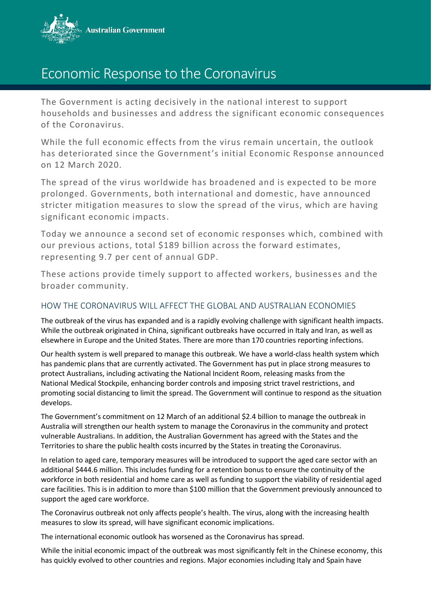

# Economic Response to the Coronavirus

The Government is acting decisively in the national interest to support households and businesses and address the significant economic consequences of the Coronavirus.

While the full economic effects from the virus remain uncertain, the outlook has deteriorated since the Government's initial Economic Response announced on 12 March 2020.

The spread of the virus worldwide has broadened and is expected to be more prolonged. Governments, both international and domestic, have announced stricter mitigation measures to slow the spread of the virus, which are having significant economic impacts.

Today we announce a second set of economic responses which, combined with our previous actions, total \$189 billion across the forward estimates, representing 9.7 per cent of annual GDP.

These actions provide timely support to affected workers, businesses and the broader community.

# HOW THE CORONAVIRUS WILL AFFECT THE GLOBAL AND AUSTRALIAN ECONOMIES

The outbreak of the virus has expanded and is a rapidly evolving challenge with significant health impacts. While the outbreak originated in China, significant outbreaks have occurred in Italy and Iran, as well as elsewhere in Europe and the United States. There are more than 170 countries reporting infections.

Our health system is well prepared to manage this outbreak. We have a world-class health system which has pandemic plans that are currently activated. The Government has put in place strong measures to protect Australians, including activating the National Incident Room, releasing masks from the National Medical Stockpile, enhancing border controls and imposing strict travel restrictions, and promoting social distancing to limit the spread. The Government will continue to respond as the situation develops.

The Government's commitment on 12 March of an additional \$2.4 billion to manage the outbreak in Australia will strengthen our health system to manage the Coronavirus in the community and protect vulnerable Australians. In addition, the Australian Government has agreed with the States and the Territories to share the public health costs incurred by the States in treating the Coronavirus.

In relation to aged care, temporary measures will be introduced to support the aged care sector with an additional \$444.6 million. This includes funding for a retention bonus to ensure the continuity of the workforce in both residential and home care as well as funding to support the viability of residential aged care facilities. This is in addition to more than \$100 million that the Government previously announced to support the aged care workforce.

The Coronavirus outbreak not only affects people's health. The virus, along with the increasing health measures to slow its spread, will have significant economic implications.

The international economic outlook has worsened as the Coronavirus has spread.

While the initial economic impact of the outbreak was most significantly felt in the Chinese economy, this has quickly evolved to other countries and regions. Major economies including Italy and Spain have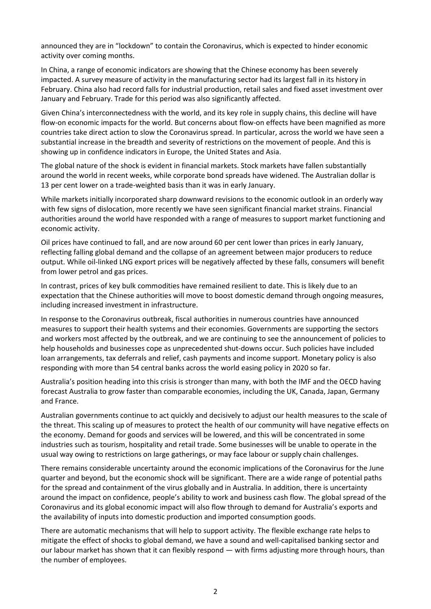announced they are in "lockdown" to contain the Coronavirus, which is expected to hinder economic activity over coming months.

In China, a range of economic indicators are showing that the Chinese economy has been severely impacted. A survey measure of activity in the manufacturing sector had its largest fall in its history in February. China also had record falls for industrial production, retail sales and fixed asset investment over January and February. Trade for this period was also significantly affected.

Given China's interconnectedness with the world, and its key role in supply chains, this decline will have flow-on economic impacts for the world. But concerns about flow-on effects have been magnified as more countries take direct action to slow the Coronavirus spread. In particular, across the world we have seen a substantial increase in the breadth and severity of restrictions on the movement of people. And this is showing up in confidence indicators in Europe, the United States and Asia.

The global nature of the shock is evident in financial markets. Stock markets have fallen substantially around the world in recent weeks, while corporate bond spreads have widened. The Australian dollar is 13 per cent lower on a trade-weighted basis than it was in early January.

While markets initially incorporated sharp downward revisions to the economic outlook in an orderly way with few signs of dislocation, more recently we have seen significant financial market strains. Financial authorities around the world have responded with a range of measures to support market functioning and economic activity.

Oil prices have continued to fall, and are now around 60 per cent lower than prices in early January, reflecting falling global demand and the collapse of an agreement between major producers to reduce output. While oil-linked LNG export prices will be negatively affected by these falls, consumers will benefit from lower petrol and gas prices.

In contrast, prices of key bulk commodities have remained resilient to date. This is likely due to an expectation that the Chinese authorities will move to boost domestic demand through ongoing measures, including increased investment in infrastructure.

In response to the Coronavirus outbreak, fiscal authorities in numerous countries have announced measures to support their health systems and their economies. Governments are supporting the sectors and workers most affected by the outbreak, and we are continuing to see the announcement of policies to help households and businesses cope as unprecedented shut-downs occur. Such policies have included loan arrangements, tax deferrals and relief, cash payments and income support. Monetary policy is also responding with more than 54 central banks across the world easing policy in 2020 so far.

Australia's position heading into this crisis is stronger than many, with both the IMF and the OECD having forecast Australia to grow faster than comparable economies, including the UK, Canada, Japan, Germany and France.

Australian governments continue to act quickly and decisively to adjust our health measures to the scale of the threat. This scaling up of measures to protect the health of our community will have negative effects on the economy. Demand for goods and services will be lowered, and this will be concentrated in some industries such as tourism, hospitality and retail trade. Some businesses will be unable to operate in the usual way owing to restrictions on large gatherings, or may face labour or supply chain challenges.

There remains considerable uncertainty around the economic implications of the Coronavirus for the June quarter and beyond, but the economic shock will be significant. There are a wide range of potential paths for the spread and containment of the virus globally and in Australia. In addition, there is uncertainty around the impact on confidence, people's ability to work and business cash flow. The global spread of the Coronavirus and its global economic impact will also flow through to demand for Australia's exports and the availability of inputs into domestic production and imported consumption goods.

There are automatic mechanisms that will help to support activity. The flexible exchange rate helps to mitigate the effect of shocks to global demand, we have a sound and well-capitalised banking sector and our labour market has shown that it can flexibly respond — with firms adjusting more through hours, than the number of employees.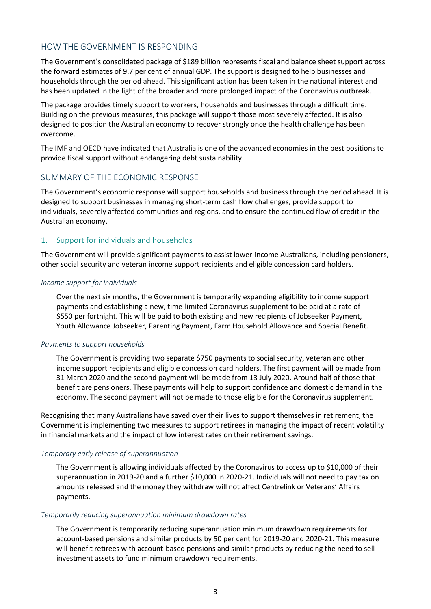# HOW THE GOVERNMENT IS RESPONDING

The Government's consolidated package of \$189 billion represents fiscal and balance sheet support across the forward estimates of 9.7 per cent of annual GDP. The support is designed to help businesses and households through the period ahead. This significant action has been taken in the national interest and has been updated in the light of the broader and more prolonged impact of the Coronavirus outbreak.

The package provides timely support to workers, households and businesses through a difficult time. Building on the previous measures, this package will support those most severely affected. It is also designed to position the Australian economy to recover strongly once the health challenge has been overcome.

The IMF and OECD have indicated that Australia is one of the advanced economies in the best positions to provide fiscal support without endangering debt sustainability.

## SUMMARY OF THE ECONOMIC RESPONSE

The Government's economic response will support households and business through the period ahead. It is designed to support businesses in managing short-term cash flow challenges, provide support to individuals, severely affected communities and regions, and to ensure the continued flow of credit in the Australian economy.

### 1. Support for individuals and households

The Government will provide significant payments to assist lower-income Australians, including pensioners, other social security and veteran income support recipients and eligible concession card holders.

#### *Income support for individuals*

Over the next six months, the Government is temporarily expanding eligibility to income support payments and establishing a new, time-limited Coronavirus supplement to be paid at a rate of \$550 per fortnight. This will be paid to both existing and new recipients of Jobseeker Payment, Youth Allowance Jobseeker, Parenting Payment, Farm Household Allowance and Special Benefit.

#### *Payments to support households*

The Government is providing two separate \$750 payments to social security, veteran and other income support recipients and eligible concession card holders. The first payment will be made from 31 March 2020 and the second payment will be made from 13 July 2020. Around half of those that benefit are pensioners. These payments will help to support confidence and domestic demand in the economy. The second payment will not be made to those eligible for the Coronavirus supplement.

Recognising that many Australians have saved over their lives to support themselves in retirement, the Government is implementing two measures to support retirees in managing the impact of recent volatility in financial markets and the impact of low interest rates on their retirement savings.

#### *Temporary early release of superannuation*

The Government is allowing individuals affected by the Coronavirus to access up to \$10,000 of their superannuation in 2019-20 and a further \$10,000 in 2020-21. Individuals will not need to pay tax on amounts released and the money they withdraw will not affect Centrelink or Veterans' Affairs payments.

#### *Temporarily reducing superannuation minimum drawdown rates*

The Government is temporarily reducing superannuation minimum drawdown requirements for account-based pensions and similar products by 50 per cent for 2019-20 and 2020-21. This measure will benefit retirees with account-based pensions and similar products by reducing the need to sell investment assets to fund minimum drawdown requirements.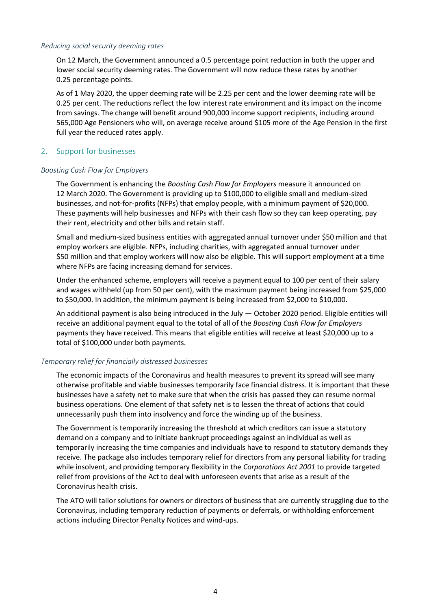#### *Reducing social security deeming rates*

On 12 March, the Government announced a 0.5 percentage point reduction in both the upper and lower social security deeming rates. The Government will now reduce these rates by another 0.25 percentage points.

As of 1 May 2020, the upper deeming rate will be 2.25 per cent and the lower deeming rate will be 0.25 per cent. The reductions reflect the low interest rate environment and its impact on the income from savings. The change will benefit around 900,000 income support recipients, including around 565,000 Age Pensioners who will, on average receive around \$105 more of the Age Pension in the first full year the reduced rates apply.

#### 2. Support for businesses

#### *Boosting Cash Flow for Employers*

The Government is enhancing the *Boosting Cash Flow for Employers* measure it announced on 12 March 2020. The Government is providing up to \$100,000 to eligible small and medium-sized businesses, and not-for-profits (NFPs) that employ people, with a minimum payment of \$20,000. These payments will help businesses and NFPs with their cash flow so they can keep operating, pay their rent, electricity and other bills and retain staff.

Small and medium-sized business entities with aggregated annual turnover under \$50 million and that employ workers are eligible. NFPs, including charities, with aggregated annual turnover under \$50 million and that employ workers will now also be eligible. This will support employment at a time where NFPs are facing increasing demand for services.

Under the enhanced scheme, employers will receive a payment equal to 100 per cent of their salary and wages withheld (up from 50 per cent), with the maximum payment being increased from \$25,000 to \$50,000. In addition, the minimum payment is being increased from \$2,000 to \$10,000.

An additional payment is also being introduced in the July — October 2020 period. Eligible entities will receive an additional payment equal to the total of all of the *Boosting Cash Flow for Employers* payments they have received. This means that eligible entities will receive at least \$20,000 up to a total of \$100,000 under both payments.

#### *Temporary relief for financially distressed businesses*

The economic impacts of the Coronavirus and health measures to prevent its spread will see many otherwise profitable and viable businesses temporarily face financial distress. It is important that these businesses have a safety net to make sure that when the crisis has passed they can resume normal business operations. One element of that safety net is to lessen the threat of actions that could unnecessarily push them into insolvency and force the winding up of the business.

The Government is temporarily increasing the threshold at which creditors can issue a statutory demand on a company and to initiate bankrupt proceedings against an individual as well as temporarily increasing the time companies and individuals have to respond to statutory demands they receive. The package also includes temporary relief for directors from any personal liability for trading while insolvent, and providing temporary flexibility in the *Corporations Act 2001* to provide targeted relief from provisions of the Act to deal with unforeseen events that arise as a result of the Coronavirus health crisis.

The ATO will tailor solutions for owners or directors of business that are currently struggling due to the Coronavirus, including temporary reduction of payments or deferrals, or withholding enforcement actions including Director Penalty Notices and wind-ups.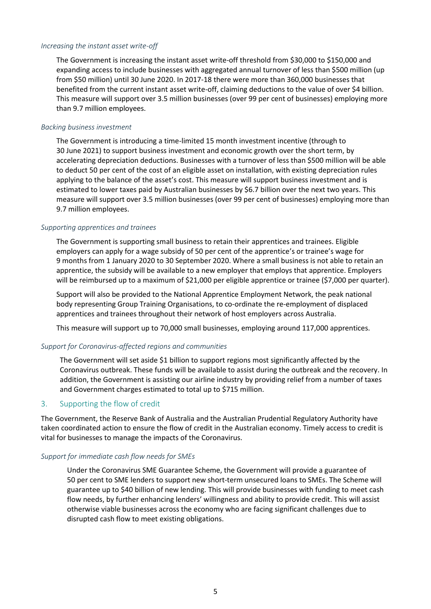#### *Increasing the instant asset write-off*

The Government is increasing the instant asset write-off threshold from \$30,000 to \$150,000 and expanding access to include businesses with aggregated annual turnover of less than \$500 million (up from \$50 million) until 30 June 2020. In 2017-18 there were more than 360,000 businesses that benefited from the current instant asset write-off, claiming deductions to the value of over \$4 billion. This measure will support over 3.5 million businesses (over 99 per cent of businesses) employing more than 9.7 million employees.

#### *Backing business investment*

The Government is introducing a time-limited 15 month investment incentive (through to 30 June 2021) to support business investment and economic growth over the short term, by accelerating depreciation deductions. Businesses with a turnover of less than \$500 million will be able to deduct 50 per cent of the cost of an eligible asset on installation, with existing depreciation rules applying to the balance of the asset's cost. This measure will support business investment and is estimated to lower taxes paid by Australian businesses by \$6.7 billion over the next two years. This measure will support over 3.5 million businesses (over 99 per cent of businesses) employing more than 9.7 million employees.

#### *Supporting apprentices and trainees*

The Government is supporting small business to retain their apprentices and trainees. Eligible employers can apply for a wage subsidy of 50 per cent of the apprentice's or trainee's wage for 9 months from 1 January 2020 to 30 September 2020. Where a small business is not able to retain an apprentice, the subsidy will be available to a new employer that employs that apprentice. Employers will be reimbursed up to a maximum of \$21,000 per eligible apprentice or trainee (\$7,000 per quarter).

Support will also be provided to the National Apprentice Employment Network, the peak national body representing Group Training Organisations, to co-ordinate the re-employment of displaced apprentices and trainees throughout their network of host employers across Australia.

This measure will support up to 70,000 small businesses, employing around 117,000 apprentices.

#### *Support for Coronavirus-affected regions and communities*

The Government will set aside \$1 billion to support regions most significantly affected by the Coronavirus outbreak. These funds will be available to assist during the outbreak and the recovery. In addition, the Government is assisting our airline industry by providing relief from a number of taxes and Government charges estimated to total up to \$715 million.

#### 3. Supporting the flow of credit

The Government, the Reserve Bank of Australia and the Australian Prudential Regulatory Authority have taken coordinated action to ensure the flow of credit in the Australian economy. Timely access to credit is vital for businesses to manage the impacts of the Coronavirus.

#### *Support for immediate cash flow needs for SMEs*

Under the Coronavirus SME Guarantee Scheme, the Government will provide a guarantee of 50 per cent to SME lenders to support new short-term unsecured loans to SMEs. The Scheme will guarantee up to \$40 billion of new lending. This will provide businesses with funding to meet cash flow needs, by further enhancing lenders' willingness and ability to provide credit. This will assist otherwise viable businesses across the economy who are facing significant challenges due to disrupted cash flow to meet existing obligations.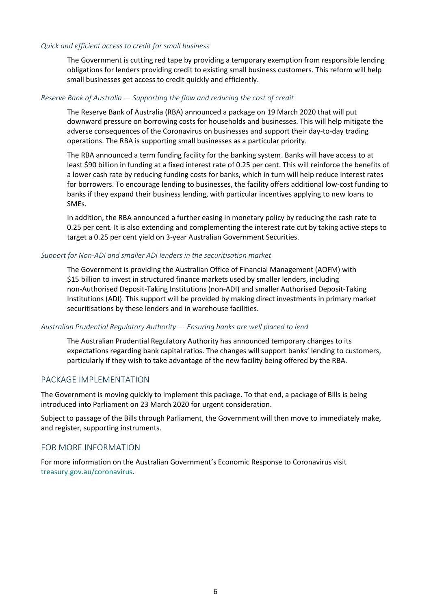#### *Quick and efficient access to credit for small business*

The Government is cutting red tape by providing a temporary exemption from responsible lending obligations for lenders providing credit to existing small business customers. This reform will help small businesses get access to credit quickly and efficiently.

#### *Reserve Bank of Australia — Supporting the flow and reducing the cost of credit*

The Reserve Bank of Australia (RBA) announced a package on 19 March 2020 that will put downward pressure on borrowing costs for households and businesses. This will help mitigate the adverse consequences of the Coronavirus on businesses and support their day-to-day trading operations. The RBA is supporting small businesses as a particular priority.

The RBA announced a term funding facility for the banking system. Banks will have access to at least \$90 billion in funding at a fixed interest rate of 0.25 per cent. This will reinforce the benefits of a lower cash rate by reducing funding costs for banks, which in turn will help reduce interest rates for borrowers. To encourage lending to businesses, the facility offers additional low-cost funding to banks if they expand their business lending, with particular incentives applying to new loans to SMEs.

In addition, the RBA announced a further easing in monetary policy by reducing the cash rate to 0.25 per cent. It is also extending and complementing the interest rate cut by taking active steps to target a 0.25 per cent yield on 3-year Australian Government Securities.

#### *Support for Non-ADI and smaller ADI lenders in the securitisation market*

The Government is providing the Australian Office of Financial Management (AOFM) with \$15 billion to invest in structured finance markets used by smaller lenders, including non-Authorised Deposit-Taking Institutions (non-ADI) and smaller Authorised Deposit-Taking Institutions (ADI). This support will be provided by making direct investments in primary market securitisations by these lenders and in warehouse facilities.

#### *Australian Prudential Regulatory Authority — Ensuring banks are well placed to lend*

The Australian Prudential Regulatory Authority has announced temporary changes to its expectations regarding bank capital ratios. The changes will support banks' lending to customers, particularly if they wish to take advantage of the new facility being offered by the RBA.

### PACKAGE IMPLEMENTATION

The Government is moving quickly to implement this package. To that end, a package of Bills is being introduced into Parliament on 23 March 2020 for urgent consideration.

Subject to passage of the Bills through Parliament, the Government will then move to immediately make, and register, supporting instruments.

#### FOR MORE INFORMATION

For more information on the Australian Government's Economic Response to Coronavirus visit [treasury.gov.au/coronavirus.](https://treasury.gov.au/coronavirus)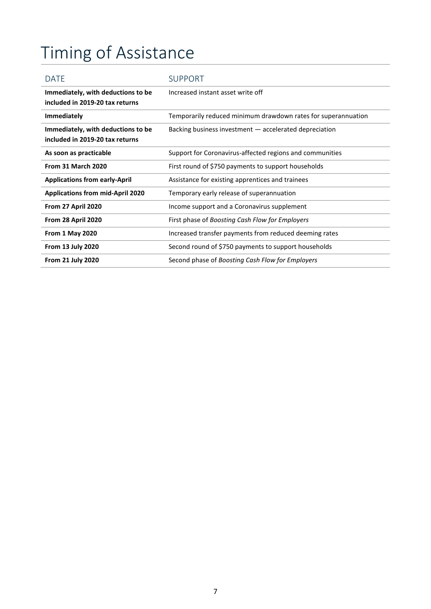# Timing of Assistance

| DATE                                                                  | <b>SUPPORT</b>                                                |
|-----------------------------------------------------------------------|---------------------------------------------------------------|
| Immediately, with deductions to be<br>included in 2019-20 tax returns | Increased instant asset write off                             |
| <b>Immediately</b>                                                    | Temporarily reduced minimum drawdown rates for superannuation |
| Immediately, with deductions to be<br>included in 2019-20 tax returns | Backing business investment — accelerated depreciation        |
| As soon as practicable                                                | Support for Coronavirus-affected regions and communities      |
| <b>From 31 March 2020</b>                                             | First round of \$750 payments to support households           |
| <b>Applications from early-April</b>                                  | Assistance for existing apprentices and trainees              |
| <b>Applications from mid-April 2020</b>                               | Temporary early release of superannuation                     |
| From 27 April 2020                                                    | Income support and a Coronavirus supplement                   |
| From 28 April 2020                                                    | First phase of Boosting Cash Flow for Employers               |
| <b>From 1 May 2020</b>                                                | Increased transfer payments from reduced deeming rates        |
| <b>From 13 July 2020</b>                                              | Second round of \$750 payments to support households          |
| <b>From 21 July 2020</b>                                              | Second phase of Boosting Cash Flow for Employers              |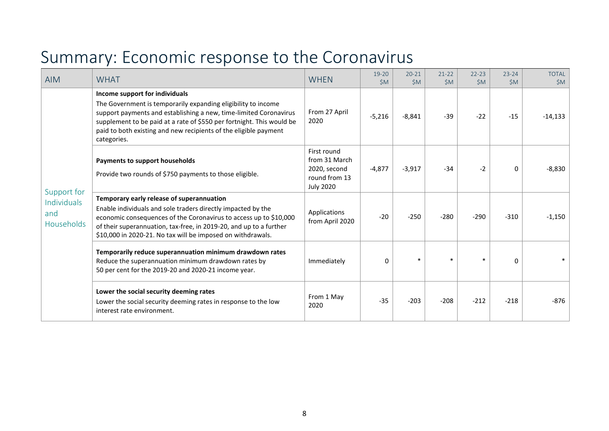# Summary: Economic response to the Coronavirus

| <b>AIM</b>                                      | <b>WHAT</b>                                                                                                                                                                                                                                                                                                                      | <b>WHEN</b>                                                                       | $19 - 20$<br>\$M | $20 - 21$<br><b>SM</b> | $21 - 22$<br><b>SM</b> | $22 - 23$<br>\$M\$ | $23 - 24$<br>\$M | <b>TOTAL</b><br>\$M |
|-------------------------------------------------|----------------------------------------------------------------------------------------------------------------------------------------------------------------------------------------------------------------------------------------------------------------------------------------------------------------------------------|-----------------------------------------------------------------------------------|------------------|------------------------|------------------------|--------------------|------------------|---------------------|
| Support for<br>Individuals<br>and<br>Households | Income support for individuals<br>The Government is temporarily expanding eligibility to income<br>support payments and establishing a new, time-limited Coronavirus<br>supplement to be paid at a rate of \$550 per fortnight. This would be<br>paid to both existing and new recipients of the eligible payment<br>categories. | From 27 April<br>2020                                                             | $-5,216$         | $-8,841$               | $-39$                  | $-22$              | $-15$            | $-14,133$           |
|                                                 | Payments to support households<br>Provide two rounds of \$750 payments to those eligible.                                                                                                                                                                                                                                        | First round<br>from 31 March<br>2020, second<br>round from 13<br><b>July 2020</b> | $-4,877$         | $-3,917$               | $-34$                  | $-2$               | 0                | $-8,830$            |
|                                                 | Temporary early release of superannuation<br>Enable individuals and sole traders directly impacted by the<br>economic consequences of the Coronavirus to access up to \$10,000<br>of their superannuation, tax-free, in 2019-20, and up to a further<br>\$10,000 in 2020-21. No tax will be imposed on withdrawals.              | Applications<br>from April 2020                                                   | $-20$            | $-250$                 | $-280$                 | $-290$             | $-310$           | $-1,150$            |
|                                                 | Temporarily reduce superannuation minimum drawdown rates<br>Reduce the superannuation minimum drawdown rates by<br>50 per cent for the 2019-20 and 2020-21 income year.                                                                                                                                                          | Immediately                                                                       | 0                | $\ast$                 | $\ast$                 |                    | $\Omega$         |                     |
|                                                 | Lower the social security deeming rates<br>Lower the social security deeming rates in response to the low<br>interest rate environment.                                                                                                                                                                                          | From 1 May<br>2020                                                                | $-35$            | $-203$                 | $-208$                 | $-212$             | $-218$           | $-876$              |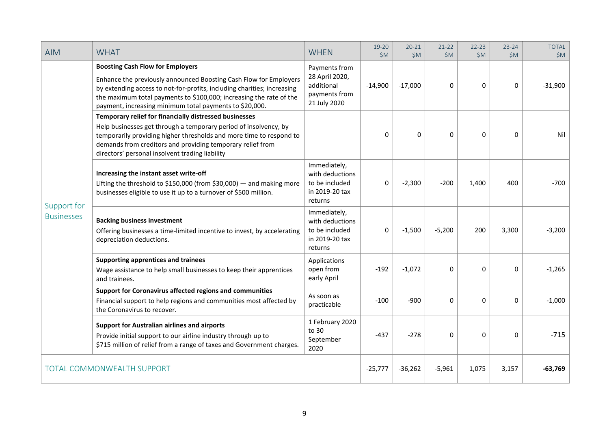| <b>AIM</b>                        | <b>WHAT</b>                                                                                                                                                                                                                                                                                                               | <b>WHEN</b>                                                                    | 19-20<br>\$M | $20 - 21$<br>\$M\$ | $21-22$<br>\$M | $22 - 23$<br>\$M | $23 - 24$<br>\$M\$ | <b>TOTAL</b><br>\$M\$ |
|-----------------------------------|---------------------------------------------------------------------------------------------------------------------------------------------------------------------------------------------------------------------------------------------------------------------------------------------------------------------------|--------------------------------------------------------------------------------|--------------|--------------------|----------------|------------------|--------------------|-----------------------|
| Support for<br><b>Businesses</b>  | <b>Boosting Cash Flow for Employers</b><br>Enhance the previously announced Boosting Cash Flow for Employers<br>by extending access to not-for-profits, including charities; increasing<br>the maximum total payments to \$100,000; increasing the rate of the<br>payment, increasing minimum total payments to \$20,000. | Payments from<br>28 April 2020,<br>additional<br>payments from<br>21 July 2020 | $-14,900$    | $-17,000$          | 0              | 0                | $\Omega$           | $-31,900$             |
|                                   | Temporary relief for financially distressed businesses<br>Help businesses get through a temporary period of insolvency, by<br>temporarily providing higher thresholds and more time to respond to<br>demands from creditors and providing temporary relief from<br>directors' personal insolvent trading liability        |                                                                                | $\Omega$     | $\Omega$           | 0              | 0                | $\Omega$           | Nil                   |
|                                   | Increasing the instant asset write-off<br>Lifting the threshold to \$150,000 (from \$30,000) $-$ and making more<br>businesses eligible to use it up to a turnover of \$500 million.                                                                                                                                      | Immediately,<br>with deductions<br>to be included<br>in 2019-20 tax<br>returns | $\Omega$     | $-2,300$           | $-200$         | 1,400            | 400                | $-700$                |
|                                   | <b>Backing business investment</b><br>Offering businesses a time-limited incentive to invest, by accelerating<br>depreciation deductions.                                                                                                                                                                                 | Immediately,<br>with deductions<br>to be included<br>in 2019-20 tax<br>returns | 0            | $-1,500$           | $-5,200$       | 200              | 3,300              | $-3,200$              |
|                                   | <b>Supporting apprentices and trainees</b><br>Wage assistance to help small businesses to keep their apprentices<br>and trainees.                                                                                                                                                                                         | Applications<br>open from<br>early April                                       | $-192$       | $-1,072$           | 0              | 0                | 0                  | $-1,265$              |
|                                   | Support for Coronavirus affected regions and communities<br>Financial support to help regions and communities most affected by<br>the Coronavirus to recover.                                                                                                                                                             | As soon as<br>practicable                                                      | $-100$       | $-900$             | 0              | $\Omega$         | $\Omega$           | $-1,000$              |
|                                   | <b>Support for Australian airlines and airports</b><br>Provide initial support to our airline industry through up to<br>\$715 million of relief from a range of taxes and Government charges.                                                                                                                             | 1 February 2020<br>to 30<br>September<br>2020                                  | $-437$       | $-278$             | 0              | 0                | $\Omega$           | $-715$                |
| <b>TOTAL COMMONWEALTH SUPPORT</b> |                                                                                                                                                                                                                                                                                                                           | $-25,777$                                                                      | $-36,262$    | $-5,961$           | 1,075          | 3,157            | $-63,769$          |                       |